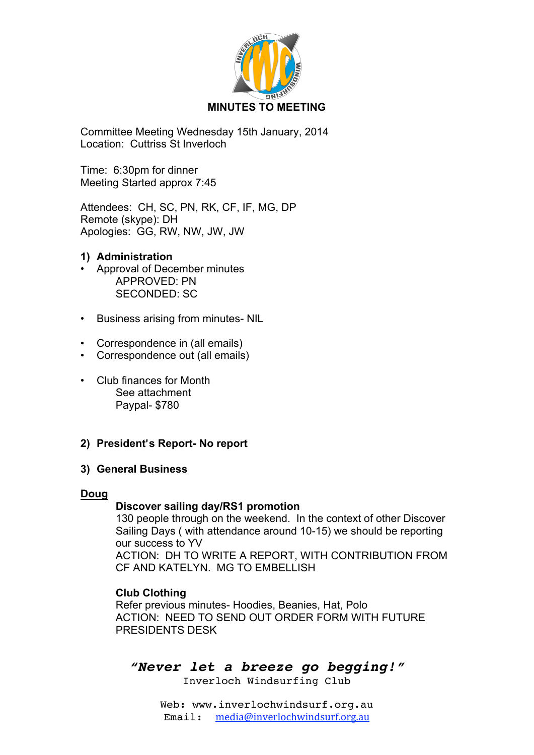

Committee Meeting Wednesday 15th January, 2014 Location: Cuttriss St Inverloch

Time: 6:30pm for dinner Meeting Started approx 7:45

Attendees: CH, SC, PN, RK, CF, IF, MG, DP Remote (skype): DH Apologies: GG, RW, NW, JW, JW

## **1) Administration**

- Approval of December minutes APPROVED: PN SECONDED: SC
- Business arising from minutes- NIL
- Correspondence in (all emails)
- Correspondence out (all emails)
- Club finances for Month See attachment Paypal- \$780

### **2) President**'**s Report- No report**

### **3) General Business**

### **Doug**

### **Discover sailing day/RS1 promotion**

130 people through on the weekend. In the context of other Discover Sailing Days ( with attendance around 10-15) we should be reporting our success to YV ACTION: DH TO WRITE A REPORT, WITH CONTRIBUTION FROM

CF AND KATELYN. MG TO EMBELLISH

### **Club Clothing**

Refer previous minutes- Hoodies, Beanies, Hat, Polo ACTION: NEED TO SEND OUT ORDER FORM WITH FUTURE PRESIDENTS DESK

# *"Never let a breeze go begging!"*

Inverloch Windsurfing Club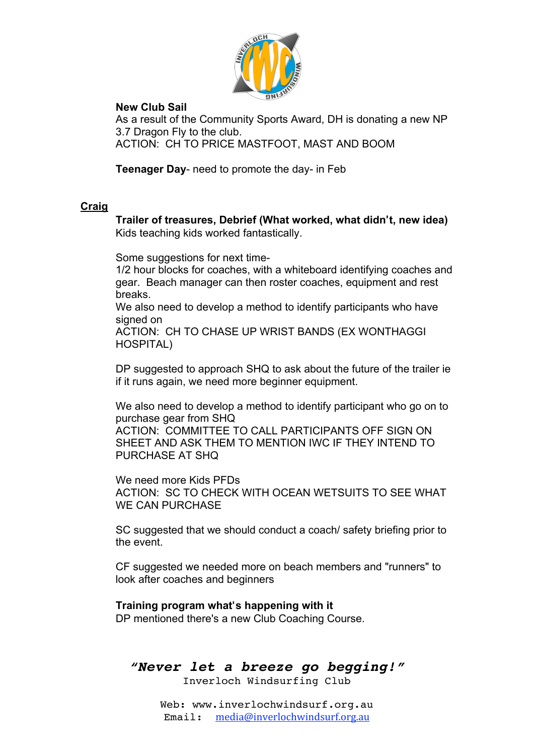

### **New Club Sail**

As a result of the Community Sports Award, DH is donating a new NP 3.7 Dragon Fly to the club. ACTION: CH TO PRICE MASTFOOT, MAST AND BOOM

**Teenager Day**- need to promote the day- in Feb

### **Craig**

**Trailer of treasures, Debrief (What worked, what didn**'**t, new idea)** Kids teaching kids worked fantastically.

Some suggestions for next time-

1/2 hour blocks for coaches, with a whiteboard identifying coaches and gear. Beach manager can then roster coaches, equipment and rest breaks.

We also need to develop a method to identify participants who have signed on

ACTION: CH TO CHASE UP WRIST BANDS (EX WONTHAGGI HOSPITAL)

DP suggested to approach SHQ to ask about the future of the trailer ie if it runs again, we need more beginner equipment.

We also need to develop a method to identify participant who go on to purchase gear from SHQ

ACTION: COMMITTEE TO CALL PARTICIPANTS OFF SIGN ON SHEET AND ASK THEM TO MENTION IWC IF THEY INTEND TO PURCHASE AT SHQ

We need more Kids PFDs ACTION: SC TO CHECK WITH OCEAN WETSUITS TO SEE WHAT WE CAN PURCHASE

SC suggested that we should conduct a coach/ safety briefing prior to the event.

CF suggested we needed more on beach members and "runners" to look after coaches and beginners

# **Training program what**'**s happening with it**

DP mentioned there's a new Club Coaching Course.

*"Never let a breeze go begging!"*

Inverloch Windsurfing Club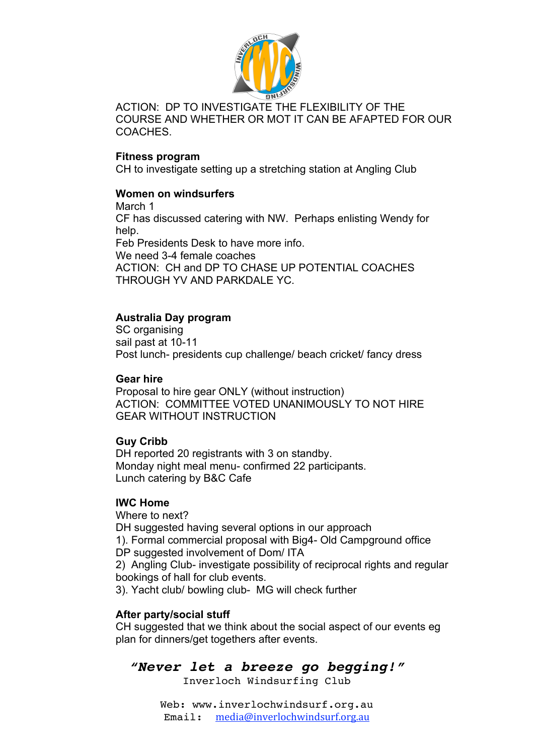

ACTION: DP TO INVESTIGATE THE FLEXIBILITY OF THE COURSE AND WHETHER OR MOT IT CAN BE AFAPTED FOR OUR COACHES.

### **Fitness program**

CH to investigate setting up a stretching station at Angling Club

### **Women on windsurfers**

March 1 CF has discussed catering with NW. Perhaps enlisting Wendy for help. Feb Presidents Desk to have more info. We need 3-4 female coaches ACTION: CH and DP TO CHASE UP POTENTIAL COACHES THROUGH YV AND PARKDALE YC.

# **Australia Day program**

SC organising sail past at 10-11 Post lunch- presidents cup challenge/ beach cricket/ fancy dress

### **Gear hire**

Proposal to hire gear ONLY (without instruction) ACTION: COMMITTEE VOTED UNANIMOUSLY TO NOT HIRE GEAR WITHOUT INSTRUCTION

# **Guy Cribb**

DH reported 20 registrants with 3 on standby. Monday night meal menu- confirmed 22 participants. Lunch catering by B&C Cafe

# **IWC Home**

Where to next?

DH suggested having several options in our approach 1). Formal commercial proposal with Big4- Old Campground office DP suggested involvement of Dom/ ITA

2) Angling Club- investigate possibility of reciprocal rights and regular bookings of hall for club events.

3). Yacht club/ bowling club- MG will check further

# **After party/social stuff**

CH suggested that we think about the social aspect of our events eg plan for dinners/get togethers after events.

# *"Never let a breeze go begging!"*

Inverloch Windsurfing Club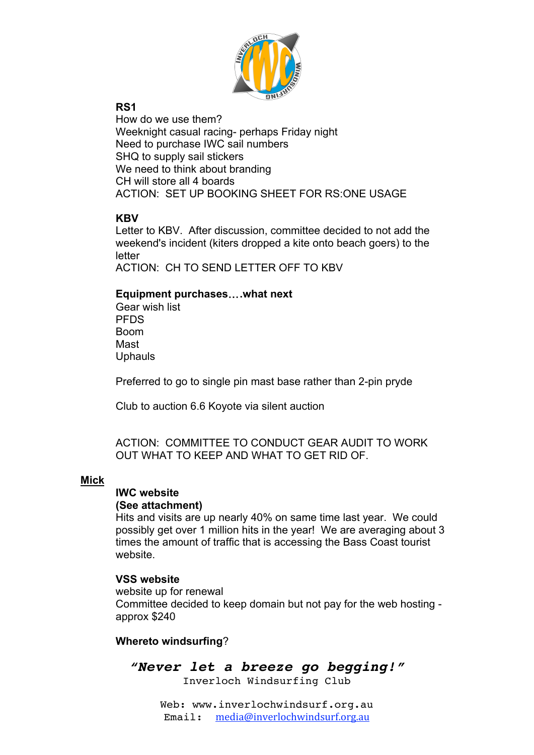

# **RS1**

How do we use them? Weeknight casual racing- perhaps Friday night Need to purchase IWC sail numbers SHQ to supply sail stickers We need to think about branding CH will store all 4 boards ACTION: SET UP BOOKING SHEET FOR RS:ONE USAGE

# **KBV**

Letter to KBV. After discussion, committee decided to not add the weekend's incident (kiters dropped a kite onto beach goers) to the letter ACTION: CH TO SEND LETTER OFF TO KBV

## **Equipment purchases**…**.what next**

Gear wish list **PFDS** Boom Mast **Uphauls** 

Preferred to go to single pin mast base rather than 2-pin pryde

Club to auction 6.6 Koyote via silent auction

ACTION: COMMITTEE TO CONDUCT GEAR AUDIT TO WORK OUT WHAT TO KEEP AND WHAT TO GET RID OF.

### **Mick**

## **IWC website**

### **(See attachment)**

Hits and visits are up nearly 40% on same time last year. We could possibly get over 1 million hits in the year! We are averaging about 3 times the amount of traffic that is accessing the Bass Coast tourist website.

### **VSS website**

website up for renewal Committee decided to keep domain but not pay for the web hosting approx \$240

# **Whereto windsurfing**?

*"Never let a breeze go begging!"* Inverloch Windsurfing Club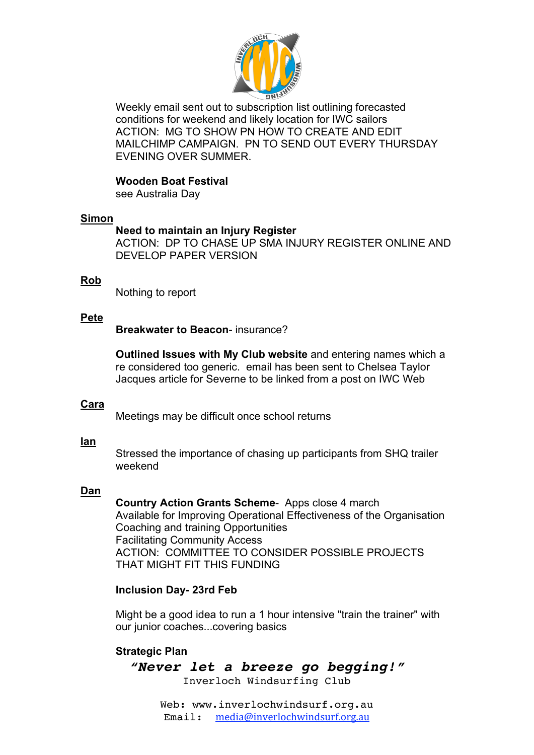

Weekly email sent out to subscription list outlining forecasted conditions for weekend and likely location for IWC sailors ACTION: MG TO SHOW PN HOW TO CREATE AND EDIT MAILCHIMP CAMPAIGN. PN TO SEND OUT EVERY THURSDAY EVENING OVER SUMMER.

### **Wooden Boat Festival**

see Australia Day

### **Simon**

### **Need to maintain an Injury Register**

ACTION: DP TO CHASE UP SMA INJURY REGISTER ONLINE AND DEVELOP PAPER VERSION

### **Rob**

Nothing to report

### **Pete**

**Breakwater to Beacon**- insurance?

**Outlined Issues with My Club website** and entering names which a re considered too generic. email has been sent to Chelsea Taylor Jacques article for Severne to be linked from a post on IWC Web

### **Cara**

Meetings may be difficult once school returns

### **Ian**

Stressed the importance of chasing up participants from SHQ trailer weekend

### **Dan**

**Country Action Grants Scheme**- Apps close 4 march Available for Improving Operational Effectiveness of the Organisation Coaching and training Opportunities Facilitating Community Access ACTION: COMMITTEE TO CONSIDER POSSIBLE PROJECTS THAT MIGHT FIT THIS FUNDING

### **Inclusion Day- 23rd Feb**

Might be a good idea to run a 1 hour intensive "train the trainer" with our junior coaches...covering basics

### **Strategic Plan**

*"Never let a breeze go begging!"* Inverloch Windsurfing Club